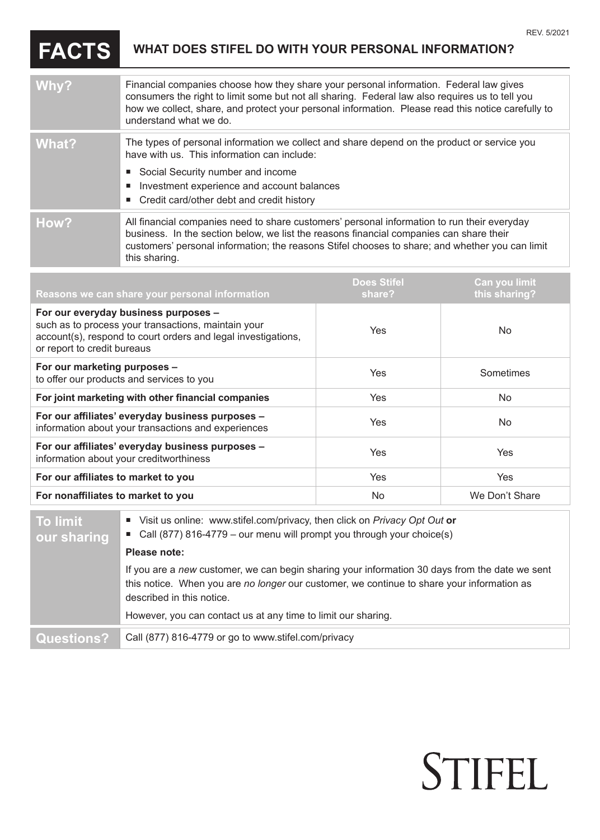STIFEL

## **FACTS WHAT DOES STIFEL DO WITH YOUR PERSONAL INFORMATION?**

| Why?  | Financial companies choose how they share your personal information. Federal law gives<br>consumers the right to limit some but not all sharing. Federal law also requires us to tell you<br>how we collect, share, and protect your personal information. Please read this notice carefully to<br>understand what we do. |
|-------|---------------------------------------------------------------------------------------------------------------------------------------------------------------------------------------------------------------------------------------------------------------------------------------------------------------------------|
| What? | The types of personal information we collect and share depend on the product or service you<br>have with us. This information can include:<br>■ Social Security number and income<br>Investment experience and account balances<br>ш<br>■ Credit card/other debt and credit history                                       |
| How?  | All financial companies need to share customers' personal information to run their everyday<br>business. In the section below, we list the reasons financial companies can share their<br>customers' personal information; the reasons Stifel chooses to share; and whether you can limit<br>this sharing.                |

| Reasons we can share your personal information                                                                                                                                              | <b>Does Stifel</b><br>share? | Can you limit<br>this sharing? |
|---------------------------------------------------------------------------------------------------------------------------------------------------------------------------------------------|------------------------------|--------------------------------|
| For our everyday business purposes -<br>such as to process your transactions, maintain your<br>account(s), respond to court orders and legal investigations,<br>or report to credit bureaus | Yes                          | No.                            |
| For our marketing purposes -<br>to offer our products and services to you                                                                                                                   | Yes                          | Sometimes                      |
| For joint marketing with other financial companies                                                                                                                                          | Yes                          | <b>No</b>                      |
| For our affiliates' everyday business purposes -<br>information about your transactions and experiences                                                                                     | <b>Yes</b>                   | <b>No</b>                      |
| For our affiliates' everyday business purposes -<br>information about your creditworthiness                                                                                                 | <b>Yes</b>                   | Yes                            |
| For our affiliates to market to you                                                                                                                                                         | Yes                          | <b>Yes</b>                     |
| For nonaffiliates to market to you                                                                                                                                                          | No                           | We Don't Share                 |

| <b>To limit</b><br>our sharing | ■ Visit us online: www.stifel.com/privacy, then click on <i>Privacy Opt Out</i> or<br>■ Call (877) 816-4779 – our menu will prompt you through your choice(s)                                                             |
|--------------------------------|---------------------------------------------------------------------------------------------------------------------------------------------------------------------------------------------------------------------------|
|                                | Please note:                                                                                                                                                                                                              |
|                                | If you are a new customer, we can begin sharing your information 30 days from the date we sent<br>this notice. When you are no longer our customer, we continue to share your information as<br>described in this notice. |
|                                | However, you can contact us at any time to limit our sharing.                                                                                                                                                             |
| <b>Questions?</b>              | Call (877) 816-4779 or go to www.stifel.com/privacy                                                                                                                                                                       |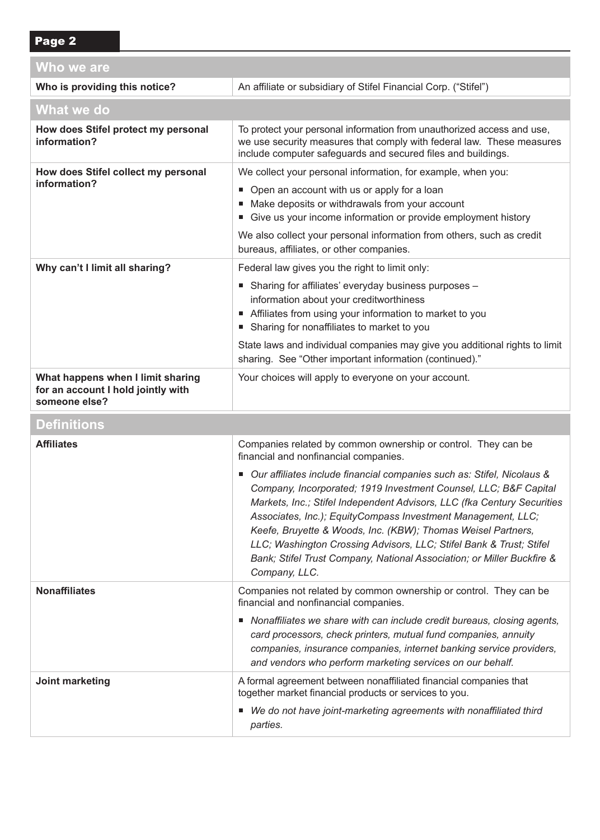| Who we are                                                                               |                                                                                                                                                                                                                                                                                                                                                                                                                                                                                                                                                                                                                                     |  |  |  |
|------------------------------------------------------------------------------------------|-------------------------------------------------------------------------------------------------------------------------------------------------------------------------------------------------------------------------------------------------------------------------------------------------------------------------------------------------------------------------------------------------------------------------------------------------------------------------------------------------------------------------------------------------------------------------------------------------------------------------------------|--|--|--|
| Who is providing this notice?                                                            | An affiliate or subsidiary of Stifel Financial Corp. ("Stifel")                                                                                                                                                                                                                                                                                                                                                                                                                                                                                                                                                                     |  |  |  |
| What we do                                                                               |                                                                                                                                                                                                                                                                                                                                                                                                                                                                                                                                                                                                                                     |  |  |  |
| How does Stifel protect my personal<br>information?                                      | To protect your personal information from unauthorized access and use,<br>we use security measures that comply with federal law. These measures<br>include computer safeguards and secured files and buildings.                                                                                                                                                                                                                                                                                                                                                                                                                     |  |  |  |
| How does Stifel collect my personal<br>information?                                      | We collect your personal information, for example, when you:<br>• Open an account with us or apply for a loan<br>■ Make deposits or withdrawals from your account<br>Give us your income information or provide employment history<br>We also collect your personal information from others, such as credit<br>bureaus, affiliates, or other companies.                                                                                                                                                                                                                                                                             |  |  |  |
| Why can't I limit all sharing?                                                           | Federal law gives you the right to limit only:<br>■ Sharing for affiliates' everyday business purposes -<br>information about your creditworthiness<br>Affiliates from using your information to market to you<br>■ Sharing for nonaffiliates to market to you<br>State laws and individual companies may give you additional rights to limit<br>sharing. See "Other important information (continued)."                                                                                                                                                                                                                            |  |  |  |
| What happens when I limit sharing<br>for an account I hold jointly with<br>someone else? | Your choices will apply to everyone on your account.                                                                                                                                                                                                                                                                                                                                                                                                                                                                                                                                                                                |  |  |  |
| <b>Definitions</b>                                                                       |                                                                                                                                                                                                                                                                                                                                                                                                                                                                                                                                                                                                                                     |  |  |  |
| <b>Affiliates</b>                                                                        | Companies related by common ownership or control. They can be<br>financial and nonfinancial companies.<br>■ Our affiliates include financial companies such as: Stifel, Nicolaus &<br>Company, Incorporated; 1919 Investment Counsel, LLC; B&F Capital<br>Markets, Inc.; Stifel Independent Advisors, LLC (fka Century Securities<br>Associates, Inc.); EquityCompass Investment Management, LLC;<br>Keefe, Bruyette & Woods, Inc. (KBW); Thomas Weisel Partners,<br>LLC; Washington Crossing Advisors, LLC; Stifel Bank & Trust; Stifel<br>Bank; Stifel Trust Company, National Association; or Miller Buckfire &<br>Company, LLC. |  |  |  |
| <b>Nonaffiliates</b>                                                                     | Companies not related by common ownership or control. They can be<br>financial and nonfinancial companies.<br>Nonaffiliates we share with can include credit bureaus, closing agents,<br>card processors, check printers, mutual fund companies, annuity<br>companies, insurance companies, internet banking service providers,<br>and vendors who perform marketing services on our behalf.                                                                                                                                                                                                                                        |  |  |  |
| Joint marketing                                                                          | A formal agreement between nonaffiliated financial companies that<br>together market financial products or services to you.<br>■ We do not have joint-marketing agreements with nonaffiliated third<br>parties.                                                                                                                                                                                                                                                                                                                                                                                                                     |  |  |  |